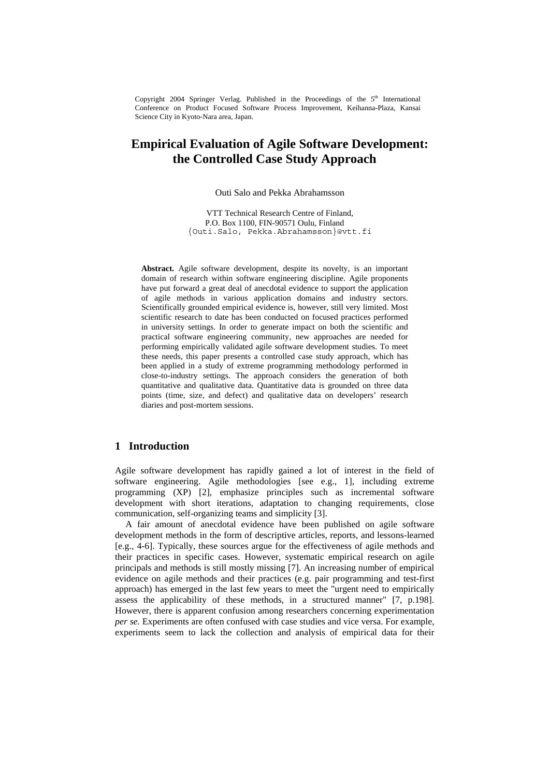Copyright 2004 Springer Verlag. Published in the Proceedings of the  $5<sup>th</sup>$  International Conference on Product Focused Software Process Improvement, Keihanna-Plaza, Kansai Science City in Kyoto-Nara area, Japan.

# **Empirical Evaluation of Agile Software Development: the Controlled Case Study Approach**

Outi Salo and Pekka Abrahamsson

VTT Technical Research Centre of Finland, P.O. Box 1100, FIN-90571 Oulu, Finland {Outi.Salo, Pekka.Abrahamsson}@vtt.fi

**Abstract.** Agile software development, despite its novelty, is an important domain of research within software engineering discipline. Agile proponents have put forward a great deal of anecdotal evidence to support the application of agile methods in various application domains and industry sectors. Scientifically grounded empirical evidence is, however, still very limited. Most scientific research to date has been conducted on focused practices performed in university settings. In order to generate impact on both the scientific and practical software engineering community, new approaches are needed for performing empirically validated agile software development studies. To meet these needs, this paper presents a controlled case study approach, which has been applied in a study of extreme programming methodology performed in close-to-industry settings. The approach considers the generation of both quantitative and qualitative data. Quantitative data is grounded on three data points (time, size, and defect) and qualitative data on developers' research diaries and post-mortem sessions.

## **1 Introduction**

Agile software development has rapidly gained a lot of interest in the field of software engineering. Agile methodologies [see e.g., 1], including extreme programming (XP) [2], emphasize principles such as incremental software development with short iterations, adaptation to changing requirements, close communication, self-organizing teams and simplicity [3].

A fair amount of anecdotal evidence have been published on agile software development methods in the form of descriptive articles, reports, and lessons-learned [e.g., 4-6]. Typically, these sources argue for the effectiveness of agile methods and their practices in specific cases. However, systematic empirical research on agile principals and methods is still mostly missing [7]. An increasing number of empirical evidence on agile methods and their practices (e.g. pair programming and test-first approach) has emerged in the last few years to meet the "urgent need to empirically assess the applicability of these methods, in a structured manner" [7, p.198]. However, there is apparent confusion among researchers concerning experimentation *per se.* Experiments are often confused with case studies and vice versa. For example, experiments seem to lack the collection and analysis of empirical data for their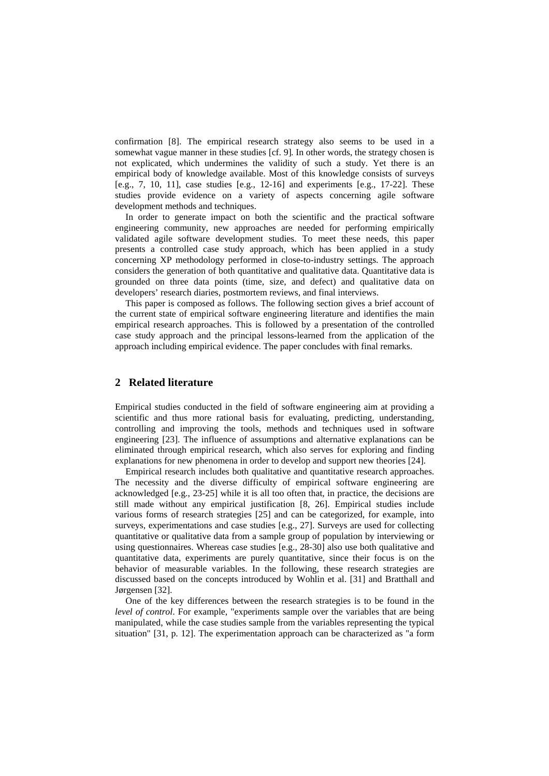confirmation [8]. The empirical research strategy also seems to be used in a somewhat vague manner in these studies [cf. 9]. In other words, the strategy chosen is not explicated, which undermines the validity of such a study. Yet there is an empirical body of knowledge available. Most of this knowledge consists of surveys [e.g., 7, 10, 11], case studies [e.g., 12-16] and experiments [e.g., 17-22]. These studies provide evidence on a variety of aspects concerning agile software development methods and techniques.

In order to generate impact on both the scientific and the practical software engineering community, new approaches are needed for performing empirically validated agile software development studies. To meet these needs, this paper presents a controlled case study approach, which has been applied in a study concerning XP methodology performed in close-to-industry settings. The approach considers the generation of both quantitative and qualitative data. Quantitative data is grounded on three data points (time, size, and defect) and qualitative data on developers' research diaries, postmortem reviews, and final interviews.

This paper is composed as follows. The following section gives a brief account of the current state of empirical software engineering literature and identifies the main empirical research approaches. This is followed by a presentation of the controlled case study approach and the principal lessons-learned from the application of the approach including empirical evidence. The paper concludes with final remarks.

### **2 Related literature**

Empirical studies conducted in the field of software engineering aim at providing a scientific and thus more rational basis for evaluating, predicting, understanding, controlling and improving the tools, methods and techniques used in software engineering [23]. The influence of assumptions and alternative explanations can be eliminated through empirical research, which also serves for exploring and finding explanations for new phenomena in order to develop and support new theories [24].

Empirical research includes both qualitative and quantitative research approaches. The necessity and the diverse difficulty of empirical software engineering are acknowledged [e.g., 23-25] while it is all too often that, in practice, the decisions are still made without any empirical justification [8, 26]. Empirical studies include various forms of research strategies [25] and can be categorized, for example, into surveys, experimentations and case studies [e.g., 27]. Surveys are used for collecting quantitative or qualitative data from a sample group of population by interviewing or using questionnaires. Whereas case studies [e.g., 28-30] also use both qualitative and quantitative data, experiments are purely quantitative, since their focus is on the behavior of measurable variables. In the following, these research strategies are discussed based on the concepts introduced by Wohlin et al. [31] and Bratthall and Jørgensen [32].

One of the key differences between the research strategies is to be found in the *level of control*. For example, "experiments sample over the variables that are being manipulated, while the case studies sample from the variables representing the typical situation" [31, p. 12]. The experimentation approach can be characterized as "a form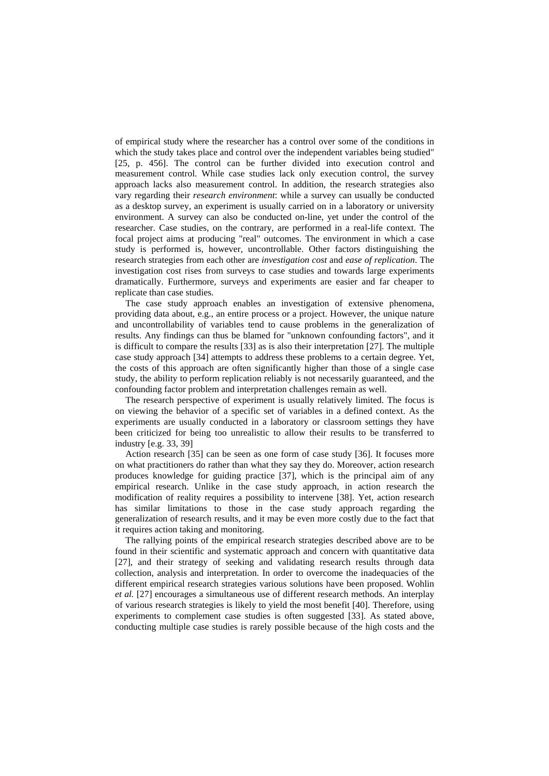of empirical study where the researcher has a control over some of the conditions in which the study takes place and control over the independent variables being studied" [25, p. 456]. The control can be further divided into execution control and measurement control. While case studies lack only execution control, the survey approach lacks also measurement control. In addition, the research strategies also vary regarding their *research environment*: while a survey can usually be conducted as a desktop survey, an experiment is usually carried on in a laboratory or university environment. A survey can also be conducted on-line, yet under the control of the researcher. Case studies, on the contrary, are performed in a real-life context. The focal project aims at producing "real" outcomes. The environment in which a case study is performed is, however, uncontrollable. Other factors distinguishing the research strategies from each other are *investigation cost* and *ease of replication*. The investigation cost rises from surveys to case studies and towards large experiments dramatically. Furthermore, surveys and experiments are easier and far cheaper to replicate than case studies.

The case study approach enables an investigation of extensive phenomena, providing data about, e.g., an entire process or a project. However, the unique nature and uncontrollability of variables tend to cause problems in the generalization of results. Any findings can thus be blamed for "unknown confounding factors", and it is difficult to compare the results [33] as is also their interpretation [27]. The multiple case study approach [34] attempts to address these problems to a certain degree. Yet, the costs of this approach are often significantly higher than those of a single case study, the ability to perform replication reliably is not necessarily guaranteed, and the confounding factor problem and interpretation challenges remain as well.

The research perspective of experiment is usually relatively limited. The focus is on viewing the behavior of a specific set of variables in a defined context. As the experiments are usually conducted in a laboratory or classroom settings they have been criticized for being too unrealistic to allow their results to be transferred to industry [e.g. 33, 39]

Action research [35] can be seen as one form of case study [36]. It focuses more on what practitioners do rather than what they say they do. Moreover, action research produces knowledge for guiding practice [37], which is the principal aim of any empirical research. Unlike in the case study approach, in action research the modification of reality requires a possibility to intervene [38]. Yet, action research has similar limitations to those in the case study approach regarding the generalization of research results, and it may be even more costly due to the fact that it requires action taking and monitoring.

The rallying points of the empirical research strategies described above are to be found in their scientific and systematic approach and concern with quantitative data [27], and their strategy of seeking and validating research results through data collection, analysis and interpretation. In order to overcome the inadequacies of the different empirical research strategies various solutions have been proposed. Wohlin *et al.* [27] encourages a simultaneous use of different research methods. An interplay of various research strategies is likely to yield the most benefit [40]. Therefore, using experiments to complement case studies is often suggested [33]. As stated above, conducting multiple case studies is rarely possible because of the high costs and the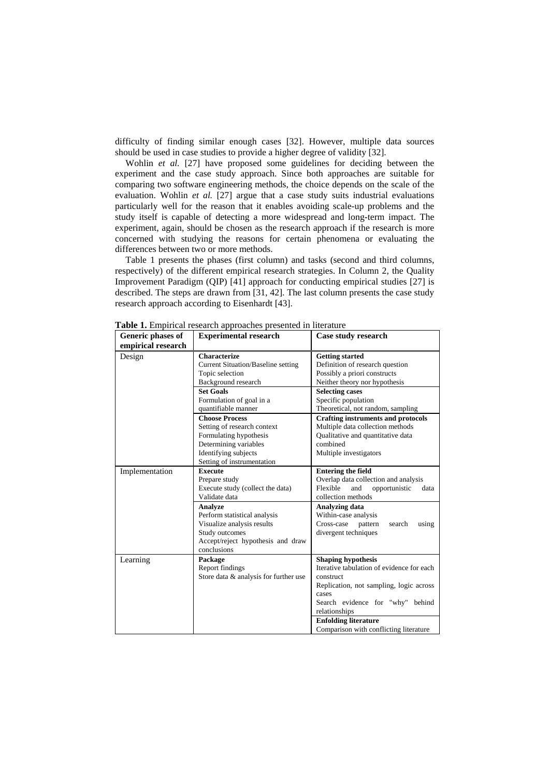difficulty of finding similar enough cases [32]. However, multiple data sources should be used in case studies to provide a higher degree of validity [32].

Wohlin *et al.* [27] have proposed some guidelines for deciding between the experiment and the case study approach. Since both approaches are suitable for comparing two software engineering methods, the choice depends on the scale of the evaluation. Wohlin *et al.* [27] argue that a case study suits industrial evaluations particularly well for the reason that it enables avoiding scale-up problems and the study itself is capable of detecting a more widespread and long-term impact. The experiment, again, should be chosen as the research approach if the research is more concerned with studying the reasons for certain phenomena or evaluating the differences between two or more methods.

Table 1 presents the phases (first column) and tasks (second and third columns, respectively) of the different empirical research strategies. In Column 2, the Quality Improvement Paradigm (QIP) [41] approach for conducting empirical studies [27] is described. The steps are drawn from [31, 42]. The last column presents the case study research approach according to Eisenhardt [43].

| Generic phases of<br>empirical research | <b>Experimental research</b>              | Case study research                       |
|-----------------------------------------|-------------------------------------------|-------------------------------------------|
|                                         |                                           |                                           |
| Design                                  | <b>Characterize</b>                       | <b>Getting started</b>                    |
|                                         | <b>Current Situation/Baseline setting</b> | Definition of research question           |
|                                         | Topic selection                           | Possibly a priori constructs              |
|                                         | Background research                       | Neither theory nor hypothesis             |
|                                         | <b>Set Goals</b>                          | <b>Selecting cases</b>                    |
|                                         | Formulation of goal in a                  | Specific population                       |
|                                         | quantifiable manner                       | Theoretical, not random, sampling         |
|                                         | <b>Choose Process</b>                     | <b>Crafting instruments and protocols</b> |
|                                         | Setting of research context               | Multiple data collection methods          |
|                                         | Formulating hypothesis                    | Qualitative and quantitative data         |
|                                         | Determining variables                     | combined                                  |
|                                         | Identifying subjects                      | Multiple investigators                    |
|                                         | Setting of instrumentation                |                                           |
| Implementation                          | Execute                                   | <b>Entering the field</b>                 |
|                                         | Prepare study                             | Overlap data collection and analysis      |
|                                         | Execute study (collect the data)          | Flexible<br>and<br>opportunistic<br>data  |
|                                         | Validate data                             | collection methods                        |
|                                         | Analyze                                   | Analyzing data                            |
|                                         | Perform statistical analysis              | Within-case analysis                      |
|                                         | Visualize analysis results                | Cross-case<br>pattern<br>search<br>using  |
|                                         | Study outcomes                            | divergent techniques                      |
|                                         | Accept/reject hypothesis and draw         |                                           |
|                                         | conclusions                               |                                           |
| Learning                                | Package                                   | <b>Shaping hypothesis</b>                 |
|                                         | Report findings                           | Iterative tabulation of evidence for each |
|                                         | Store data & analysis for further use     | construct                                 |
|                                         |                                           | Replication, not sampling, logic across   |
|                                         |                                           | cases                                     |
|                                         |                                           | Search evidence for "why" behind          |
|                                         |                                           | relationships                             |
|                                         |                                           | <b>Enfolding literature</b>               |
|                                         |                                           | Comparison with conflicting literature    |

**Table 1.** Empirical research approaches presented in literature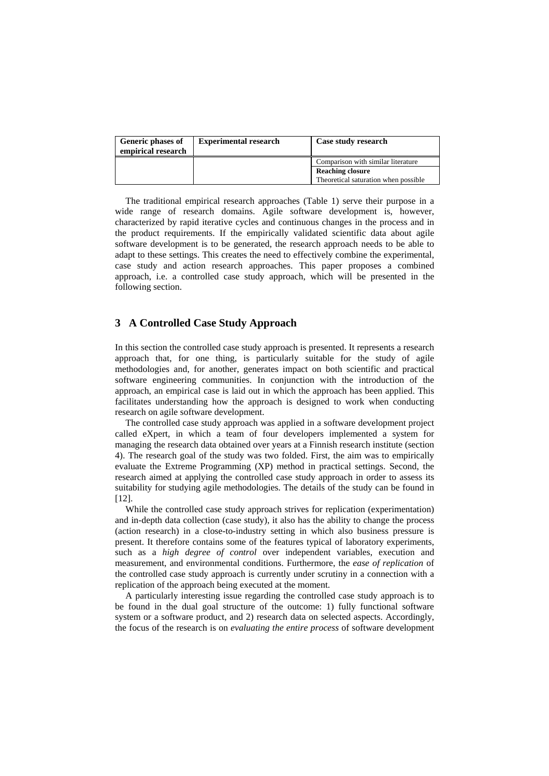| <b>Generic phases of</b><br>empirical research | <b>Experimental research</b> | Case study research                  |
|------------------------------------------------|------------------------------|--------------------------------------|
|                                                |                              | Comparison with similar literature   |
|                                                |                              | <b>Reaching closure</b>              |
|                                                |                              | Theoretical saturation when possible |

The traditional empirical research approaches (Table 1) serve their purpose in a wide range of research domains. Agile software development is, however, characterized by rapid iterative cycles and continuous changes in the process and in the product requirements. If the empirically validated scientific data about agile software development is to be generated, the research approach needs to be able to adapt to these settings. This creates the need to effectively combine the experimental, case study and action research approaches. This paper proposes a combined approach, i.e. a controlled case study approach, which will be presented in the following section.

# **3 A Controlled Case Study Approach**

In this section the controlled case study approach is presented. It represents a research approach that, for one thing, is particularly suitable for the study of agile methodologies and, for another, generates impact on both scientific and practical software engineering communities. In conjunction with the introduction of the approach, an empirical case is laid out in which the approach has been applied. This facilitates understanding how the approach is designed to work when conducting research on agile software development.

The controlled case study approach was applied in a software development project called eXpert, in which a team of four developers implemented a system for managing the research data obtained over years at a Finnish research institute (section 4). The research goal of the study was two folded. First, the aim was to empirically evaluate the Extreme Programming (XP) method in practical settings. Second, the research aimed at applying the controlled case study approach in order to assess its suitability for studying agile methodologies. The details of the study can be found in [12].

While the controlled case study approach strives for replication (experimentation) and in-depth data collection (case study), it also has the ability to change the process (action research) in a close-to-industry setting in which also business pressure is present. It therefore contains some of the features typical of laboratory experiments, such as a *high degree of control* over independent variables, execution and measurement, and environmental conditions. Furthermore, the *ease of replication* of the controlled case study approach is currently under scrutiny in a connection with a replication of the approach being executed at the moment.

A particularly interesting issue regarding the controlled case study approach is to be found in the dual goal structure of the outcome: 1) fully functional software system or a software product, and 2) research data on selected aspects. Accordingly, the focus of the research is on *evaluating the entire process* of software development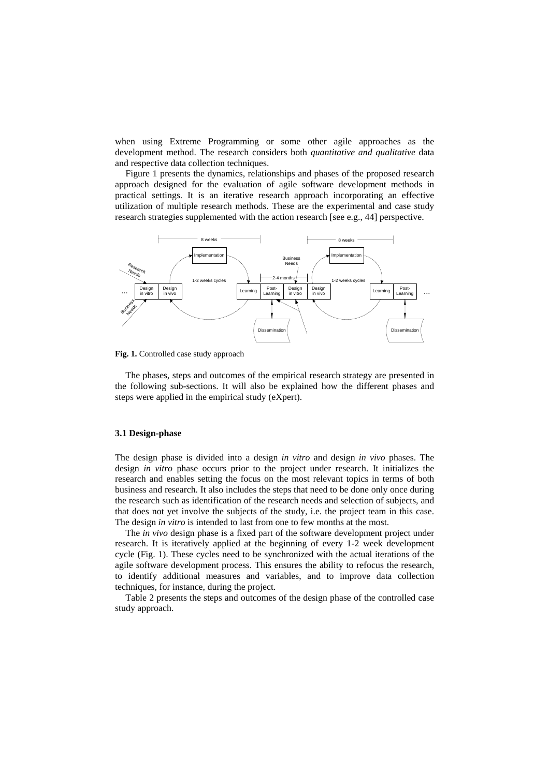when using Extreme Programming or some other agile approaches as the development method. The research considers both *quantitative and qualitative* data and respective data collection techniques.

Figure 1 presents the dynamics, relationships and phases of the proposed research approach designed for the evaluation of agile software development methods in practical settings. It is an iterative research approach incorporating an effective utilization of multiple research methods. These are the experimental and case study research strategies supplemented with the action research [see e.g., 44] perspective.



**Fig. 1.** Controlled case study approach

The phases, steps and outcomes of the empirical research strategy are presented in the following sub-sections. It will also be explained how the different phases and steps were applied in the empirical study (eXpert).

#### **3.1 Design-phase**

The design phase is divided into a design *in vitro* and design *in vivo* phases. The design *in vitro* phase occurs prior to the project under research. It initializes the research and enables setting the focus on the most relevant topics in terms of both business and research. It also includes the steps that need to be done only once during the research such as identification of the research needs and selection of subjects, and that does not yet involve the subjects of the study, i.e. the project team in this case. The design *in vitro* is intended to last from one to few months at the most.

The *in vivo* design phase is a fixed part of the software development project under research. It is iteratively applied at the beginning of every 1-2 week development cycle (Fig. 1). These cycles need to be synchronized with the actual iterations of the agile software development process. This ensures the ability to refocus the research, to identify additional measures and variables, and to improve data collection techniques, for instance, during the project.

Table 2 presents the steps and outcomes of the design phase of the controlled case study approach.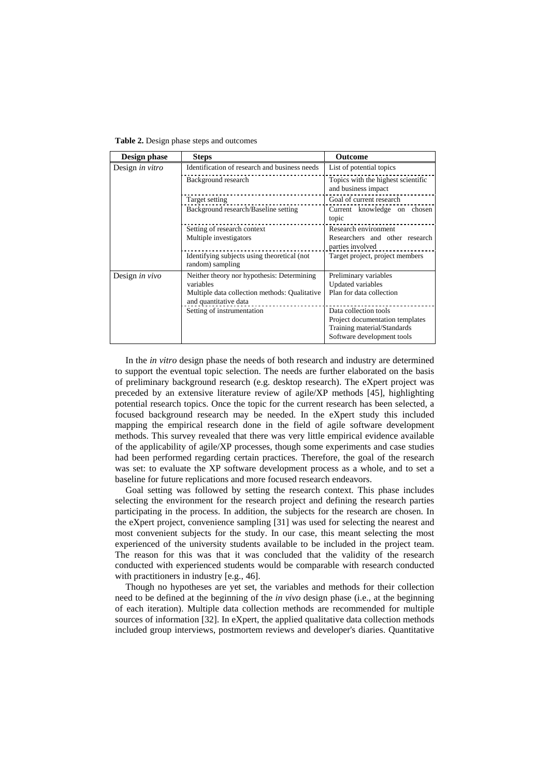**Table 2.** Design phase steps and outcomes

| Design phase     | <b>Steps</b>                                                                                                                      | Outcome                                                                                                               |
|------------------|-----------------------------------------------------------------------------------------------------------------------------------|-----------------------------------------------------------------------------------------------------------------------|
| Design in vitro  | Identification of research and business needs                                                                                     | List of potential topics                                                                                              |
|                  | Background research                                                                                                               | Topics with the highest scientific<br>and business impact                                                             |
|                  | Target setting                                                                                                                    | Goal of current research                                                                                              |
|                  | Background research/Baseline setting                                                                                              | Current knowledge on chosen<br>topic                                                                                  |
|                  | Setting of research context<br>Multiple investigators                                                                             | Research environment<br>Researchers and other research<br>parties involved                                            |
|                  | Identifying subjects using theoretical (not<br>random) sampling                                                                   | Target project, project members                                                                                       |
| Design in $vivo$ | Neither theory nor hypothesis: Determining<br>variables<br>Multiple data collection methods: Qualitative<br>and quantitative data | Preliminary variables<br><b>Updated variables</b><br>Plan for data collection                                         |
|                  | Setting of instrumentation                                                                                                        | Data collection tools<br>Project documentation templates<br>Training material/Standards<br>Software development tools |

In the *in vitro* design phase the needs of both research and industry are determined to support the eventual topic selection. The needs are further elaborated on the basis of preliminary background research (e.g. desktop research). The eXpert project was preceded by an extensive literature review of agile/XP methods [45], highlighting potential research topics. Once the topic for the current research has been selected, a focused background research may be needed. In the eXpert study this included mapping the empirical research done in the field of agile software development methods. This survey revealed that there was very little empirical evidence available of the applicability of agile/XP processes, though some experiments and case studies had been performed regarding certain practices. Therefore, the goal of the research was set: to evaluate the XP software development process as a whole, and to set a baseline for future replications and more focused research endeavors.

Goal setting was followed by setting the research context. This phase includes selecting the environment for the research project and defining the research parties participating in the process. In addition, the subjects for the research are chosen. In the eXpert project, convenience sampling [31] was used for selecting the nearest and most convenient subjects for the study. In our case, this meant selecting the most experienced of the university students available to be included in the project team. The reason for this was that it was concluded that the validity of the research conducted with experienced students would be comparable with research conducted with practitioners in industry [e.g., 46].

Though no hypotheses are yet set, the variables and methods for their collection need to be defined at the beginning of the *in vivo* design phase (i.e., at the beginning of each iteration). Multiple data collection methods are recommended for multiple sources of information [32]. In eXpert, the applied qualitative data collection methods included group interviews, postmortem reviews and developer's diaries. Quantitative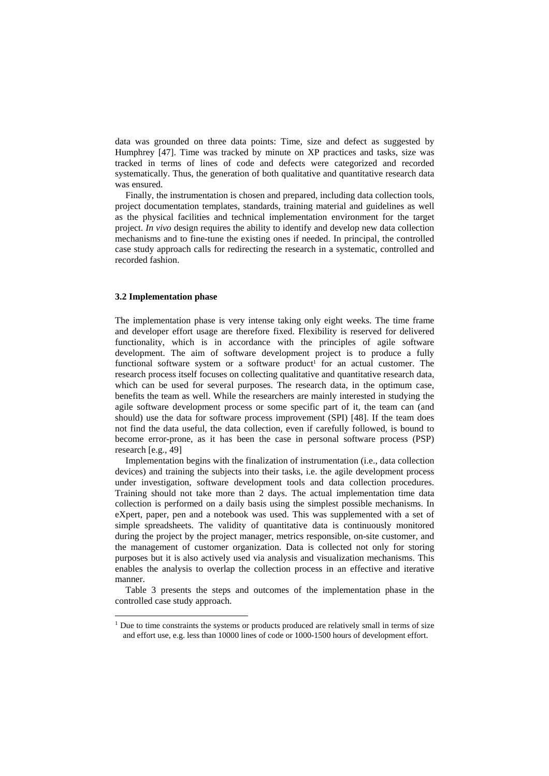data was grounded on three data points: Time, size and defect as suggested by Humphrey [47]. Time was tracked by minute on XP practices and tasks, size was tracked in terms of lines of code and defects were categorized and recorded systematically. Thus, the generation of both qualitative and quantitative research data was ensured.

Finally, the instrumentation is chosen and prepared, including data collection tools, project documentation templates, standards, training material and guidelines as well as the physical facilities and technical implementation environment for the target project. *In vivo* design requires the ability to identify and develop new data collection mechanisms and to fine-tune the existing ones if needed. In principal, the controlled case study approach calls for redirecting the research in a systematic, controlled and recorded fashion.

#### **3.2 Implementation phase**

l

The implementation phase is very intense taking only eight weeks. The time frame and developer effort usage are therefore fixed. Flexibility is reserved for delivered functionality, which is in accordance with the principles of agile software development. The aim of software development project is to produce a fully functional software system or a software product<sup>1</sup> for an actual customer. The research process itself focuses on collecting qualitative and quantitative research data, which can be used for several purposes. The research data, in the optimum case, benefits the team as well. While the researchers are mainly interested in studying the agile software development process or some specific part of it, the team can (and should) use the data for software process improvement (SPI) [48]. If the team does not find the data useful, the data collection, even if carefully followed, is bound to become error-prone, as it has been the case in personal software process (PSP) research [e.g., 49]

Implementation begins with the finalization of instrumentation (i.e., data collection devices) and training the subjects into their tasks, i.e. the agile development process under investigation, software development tools and data collection procedures. Training should not take more than 2 days. The actual implementation time data collection is performed on a daily basis using the simplest possible mechanisms. In eXpert, paper, pen and a notebook was used. This was supplemented with a set of simple spreadsheets. The validity of quantitative data is continuously monitored during the project by the project manager, metrics responsible, on-site customer, and the management of customer organization. Data is collected not only for storing purposes but it is also actively used via analysis and visualization mechanisms. This enables the analysis to overlap the collection process in an effective and iterative manner.

Table 3 presents the steps and outcomes of the implementation phase in the controlled case study approach.

 $1$  Due to time constraints the systems or products produced are relatively small in terms of size and effort use, e.g. less than 10000 lines of code or 1000-1500 hours of development effort.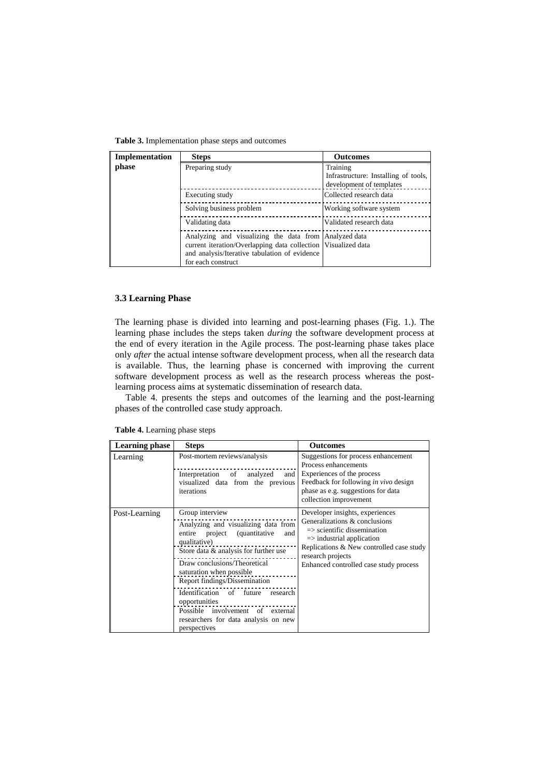**Table 3.** Implementation phase steps and outcomes

| Implementation | <b>Steps</b>                                                                                                                                                            | <b>Outcomes</b>                      |
|----------------|-------------------------------------------------------------------------------------------------------------------------------------------------------------------------|--------------------------------------|
| phase          | Preparing study                                                                                                                                                         | Training                             |
|                |                                                                                                                                                                         | Infrastructure: Installing of tools, |
|                |                                                                                                                                                                         | development of templates             |
|                | Executing study                                                                                                                                                         | Collected research data              |
|                | Solving business problem                                                                                                                                                | Working software system              |
|                | Validating data                                                                                                                                                         | Validated research data              |
|                | Analyzing and visualizing the data from Analyzed data<br>current iteration/Overlapping data collection Visualized data<br>and analysis/Iterative tabulation of evidence |                                      |
|                | for each construct                                                                                                                                                      |                                      |

### **3.3 Learning Phase**

The learning phase is divided into learning and post-learning phases (Fig. 1.). The learning phase includes the steps taken *during* the software development process at the end of every iteration in the Agile process. The post-learning phase takes place only *after* the actual intense software development process, when all the research data is available. Thus, the learning phase is concerned with improving the current software development process as well as the research process whereas the postlearning process aims at systematic dissemination of research data.

Table 4. presents the steps and outcomes of the learning and the post-learning phases of the controlled case study approach.

| <b>Learning phase</b> | <b>Steps</b>                                                                                                                                                                                                                                                                                                                                                                                                        | <b>Outcomes</b>                                                                                                                                                                                                                                               |
|-----------------------|---------------------------------------------------------------------------------------------------------------------------------------------------------------------------------------------------------------------------------------------------------------------------------------------------------------------------------------------------------------------------------------------------------------------|---------------------------------------------------------------------------------------------------------------------------------------------------------------------------------------------------------------------------------------------------------------|
| Learning              | Post-mortem reviews/analysis<br>Interpretation of analyzed<br>and<br>visualized data from the previous<br>iterations                                                                                                                                                                                                                                                                                                | Suggestions for process enhancement<br>Process enhancements<br>Experiences of the process<br>Feedback for following in vivo design<br>phase as e.g. suggestions for data<br>collection improvement                                                            |
| Post-Learning         | Group interview<br>Analyzing and visualizing data from<br>project<br><i>(quantitative)</i><br>entire<br>and<br>qualitative)<br>Store data & analysis for further use<br>Draw conclusions/Theoretical<br>saturation when possible<br>Report findings/Dissemination<br>Identification of future research<br>opportunities<br>Possible involvement of external<br>researchers for data analysis on new<br>perspectives | Developer insights, experiences<br>Generalizations & conclusions<br>$\Rightarrow$ scientific dissemination<br>$\Rightarrow$ industrial application<br>Replications & New controlled case study<br>research projects<br>Enhanced controlled case study process |

**Table 4.** Learning phase steps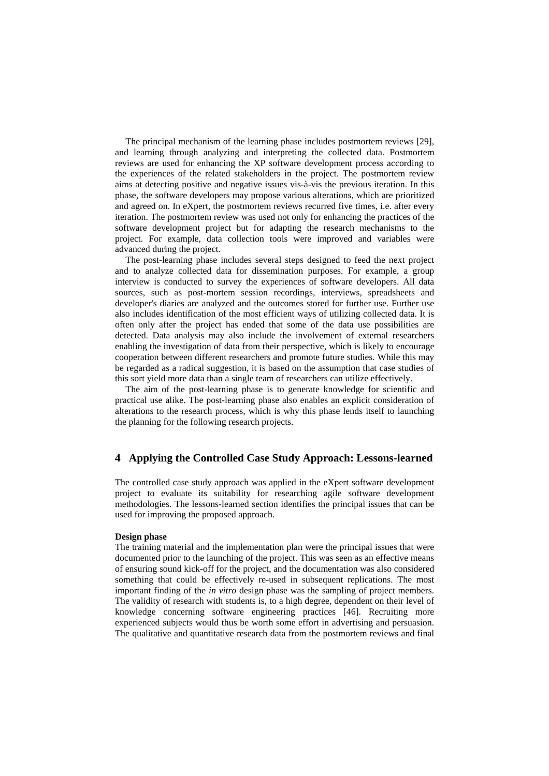The principal mechanism of the learning phase includes postmortem reviews [29], and learning through analyzing and interpreting the collected data. Postmortem reviews are used for enhancing the XP software development process according to the experiences of the related stakeholders in the project. The postmortem review aims at detecting positive and negative issues vis-à-vis the previous iteration. In this phase, the software developers may propose various alterations, which are prioritized and agreed on. In eXpert, the postmortem reviews recurred five times, i.e. after every iteration. The postmortem review was used not only for enhancing the practices of the software development project but for adapting the research mechanisms to the project. For example, data collection tools were improved and variables were advanced during the project.

The post-learning phase includes several steps designed to feed the next project and to analyze collected data for dissemination purposes. For example, a group interview is conducted to survey the experiences of software developers. All data sources, such as post-mortem session recordings, interviews, spreadsheets and developer's diaries are analyzed and the outcomes stored for further use. Further use also includes identification of the most efficient ways of utilizing collected data. It is often only after the project has ended that some of the data use possibilities are detected. Data analysis may also include the involvement of external researchers enabling the investigation of data from their perspective, which is likely to encourage cooperation between different researchers and promote future studies. While this may be regarded as a radical suggestion, it is based on the assumption that case studies of this sort yield more data than a single team of researchers can utilize effectively.

The aim of the post-learning phase is to generate knowledge for scientific and practical use alike. The post-learning phase also enables an explicit consideration of alterations to the research process, which is why this phase lends itself to launching the planning for the following research projects.

## **4 Applying the Controlled Case Study Approach: Lessons-learned**

The controlled case study approach was applied in the eXpert software development project to evaluate its suitability for researching agile software development methodologies. The lessons-learned section identifies the principal issues that can be used for improving the proposed approach.

#### **Design phase**

The training material and the implementation plan were the principal issues that were documented prior to the launching of the project. This was seen as an effective means of ensuring sound kick-off for the project, and the documentation was also considered something that could be effectively re-used in subsequent replications. The most important finding of the *in vitro* design phase was the sampling of project members. The validity of research with students is, to a high degree, dependent on their level of knowledge concerning software engineering practices [46]. Recruiting more experienced subjects would thus be worth some effort in advertising and persuasion. The qualitative and quantitative research data from the postmortem reviews and final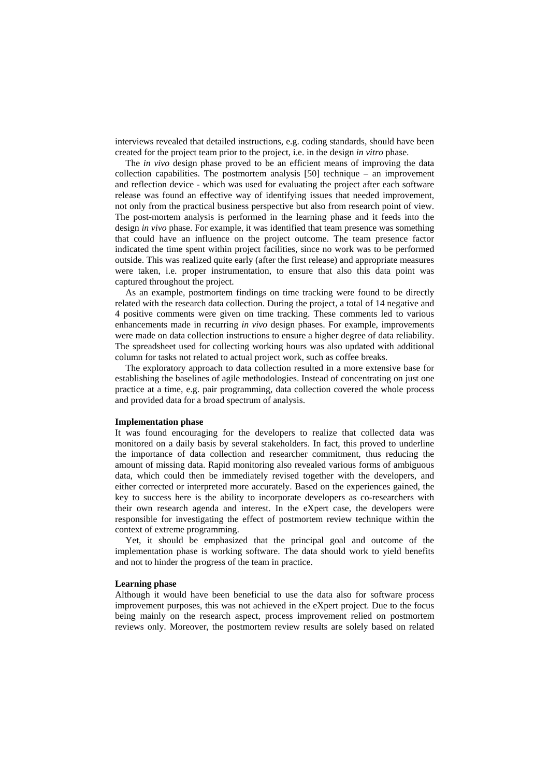interviews revealed that detailed instructions, e.g. coding standards, should have been created for the project team prior to the project, i.e. in the design *in vitro* phase.

The *in vivo* design phase proved to be an efficient means of improving the data collection capabilities. The postmortem analysis [50] technique – an improvement and reflection device - which was used for evaluating the project after each software release was found an effective way of identifying issues that needed improvement, not only from the practical business perspective but also from research point of view. The post-mortem analysis is performed in the learning phase and it feeds into the design *in vivo* phase. For example, it was identified that team presence was something that could have an influence on the project outcome. The team presence factor indicated the time spent within project facilities, since no work was to be performed outside. This was realized quite early (after the first release) and appropriate measures were taken, i.e. proper instrumentation, to ensure that also this data point was captured throughout the project.

As an example, postmortem findings on time tracking were found to be directly related with the research data collection. During the project, a total of 14 negative and 4 positive comments were given on time tracking. These comments led to various enhancements made in recurring *in vivo* design phases. For example, improvements were made on data collection instructions to ensure a higher degree of data reliability. The spreadsheet used for collecting working hours was also updated with additional column for tasks not related to actual project work, such as coffee breaks.

The exploratory approach to data collection resulted in a more extensive base for establishing the baselines of agile methodologies. Instead of concentrating on just one practice at a time, e.g. pair programming, data collection covered the whole process and provided data for a broad spectrum of analysis.

#### **Implementation phase**

It was found encouraging for the developers to realize that collected data was monitored on a daily basis by several stakeholders. In fact, this proved to underline the importance of data collection and researcher commitment, thus reducing the amount of missing data. Rapid monitoring also revealed various forms of ambiguous data, which could then be immediately revised together with the developers, and either corrected or interpreted more accurately. Based on the experiences gained, the key to success here is the ability to incorporate developers as co-researchers with their own research agenda and interest. In the eXpert case, the developers were responsible for investigating the effect of postmortem review technique within the context of extreme programming.

Yet, it should be emphasized that the principal goal and outcome of the implementation phase is working software. The data should work to yield benefits and not to hinder the progress of the team in practice.

### **Learning phase**

Although it would have been beneficial to use the data also for software process improvement purposes, this was not achieved in the eXpert project. Due to the focus being mainly on the research aspect, process improvement relied on postmortem reviews only. Moreover, the postmortem review results are solely based on related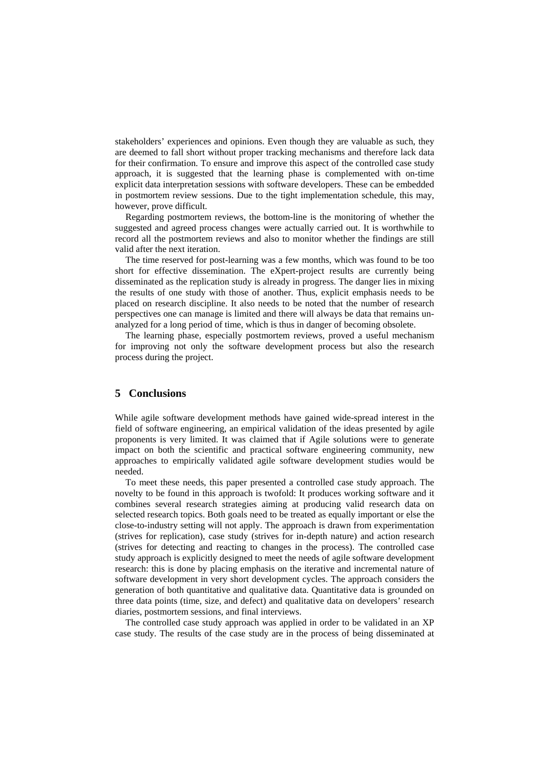stakeholders' experiences and opinions. Even though they are valuable as such, they are deemed to fall short without proper tracking mechanisms and therefore lack data for their confirmation. To ensure and improve this aspect of the controlled case study approach, it is suggested that the learning phase is complemented with on-time explicit data interpretation sessions with software developers. These can be embedded in postmortem review sessions. Due to the tight implementation schedule, this may, however, prove difficult.

Regarding postmortem reviews, the bottom-line is the monitoring of whether the suggested and agreed process changes were actually carried out. It is worthwhile to record all the postmortem reviews and also to monitor whether the findings are still valid after the next iteration.

The time reserved for post-learning was a few months, which was found to be too short for effective dissemination. The eXpert-project results are currently being disseminated as the replication study is already in progress. The danger lies in mixing the results of one study with those of another. Thus, explicit emphasis needs to be placed on research discipline. It also needs to be noted that the number of research perspectives one can manage is limited and there will always be data that remains unanalyzed for a long period of time, which is thus in danger of becoming obsolete.

The learning phase, especially postmortem reviews, proved a useful mechanism for improving not only the software development process but also the research process during the project.

# **5 Conclusions**

While agile software development methods have gained wide-spread interest in the field of software engineering, an empirical validation of the ideas presented by agile proponents is very limited. It was claimed that if Agile solutions were to generate impact on both the scientific and practical software engineering community, new approaches to empirically validated agile software development studies would be needed.

To meet these needs, this paper presented a controlled case study approach. The novelty to be found in this approach is twofold: It produces working software and it combines several research strategies aiming at producing valid research data on selected research topics. Both goals need to be treated as equally important or else the close-to-industry setting will not apply. The approach is drawn from experimentation (strives for replication), case study (strives for in-depth nature) and action research (strives for detecting and reacting to changes in the process). The controlled case study approach is explicitly designed to meet the needs of agile software development research: this is done by placing emphasis on the iterative and incremental nature of software development in very short development cycles. The approach considers the generation of both quantitative and qualitative data. Quantitative data is grounded on three data points (time, size, and defect) and qualitative data on developers' research diaries, postmortem sessions, and final interviews.

The controlled case study approach was applied in order to be validated in an XP case study. The results of the case study are in the process of being disseminated at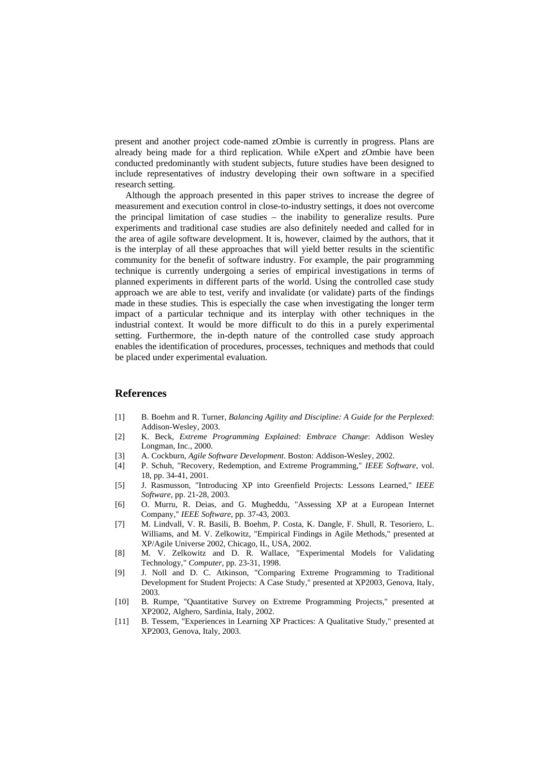present and another project code-named zOmbie is currently in progress. Plans are already being made for a third replication. While eXpert and zOmbie have been conducted predominantly with student subjects, future studies have been designed to include representatives of industry developing their own software in a specified research setting.

Although the approach presented in this paper strives to increase the degree of measurement and execution control in close-to-industry settings, it does not overcome the principal limitation of case studies – the inability to generalize results. Pure experiments and traditional case studies are also definitely needed and called for in the area of agile software development. It is, however, claimed by the authors, that it is the interplay of all these approaches that will yield better results in the scientific community for the benefit of software industry. For example, the pair programming technique is currently undergoing a series of empirical investigations in terms of planned experiments in different parts of the world. Using the controlled case study approach we are able to test, verify and invalidate (or validate) parts of the findings made in these studies. This is especially the case when investigating the longer term impact of a particular technique and its interplay with other techniques in the industrial context. It would be more difficult to do this in a purely experimental setting. Furthermore, the in-depth nature of the controlled case study approach enables the identification of procedures, processes, techniques and methods that could be placed under experimental evaluation.

### **References**

- [1] B. Boehm and R. Turner, *Balancing Agility and Discipline: A Guide for the Perplexed*: Addison-Wesley, 2003.
- [2] K. Beck, *Extreme Programming Explained: Embrace Change*: Addison Wesley Longman, Inc., 2000.
- [3] A. Cockburn, *Agile Software Development*. Boston: Addison-Wesley, 2002.
- [4] P. Schuh, "Recovery, Redemption, and Extreme Programming," *IEEE Software*, vol. 18, pp. 34-41, 2001.
- [5] J. Rasmusson, "Introducing XP into Greenfield Projects: Lessons Learned," *IEEE Software*, pp. 21-28, 2003.
- [6] O. Murru, R. Deias, and G. Mugheddu, "Assessing XP at a European Internet Company," *IEEE Software*, pp. 37-43, 2003.
- [7] M. Lindvall, V. R. Basili, B. Boehm, P. Costa, K. Dangle, F. Shull, R. Tesoriero, L. Williams, and M. V. Zelkowitz, "Empirical Findings in Agile Methods," presented at XP/Agile Universe 2002, Chicago, IL, USA, 2002.
- [8] M. V. Zelkowitz and D. R. Wallace, "Experimental Models for Validating Technology," *Computer*, pp. 23-31, 1998.
- [9] J. Noll and D. C. Atkinson, "Comparing Extreme Programming to Traditional Development for Student Projects: A Case Study," presented at XP2003, Genova, Italy, 2003.
- [10] B. Rumpe, "Quantitative Survey on Extreme Programming Projects," presented at XP2002, Alghero, Sardinia, Italy, 2002.
- [11] B. Tessem, "Experiences in Learning XP Practices: A Qualitative Study," presented at XP2003, Genova, Italy, 2003.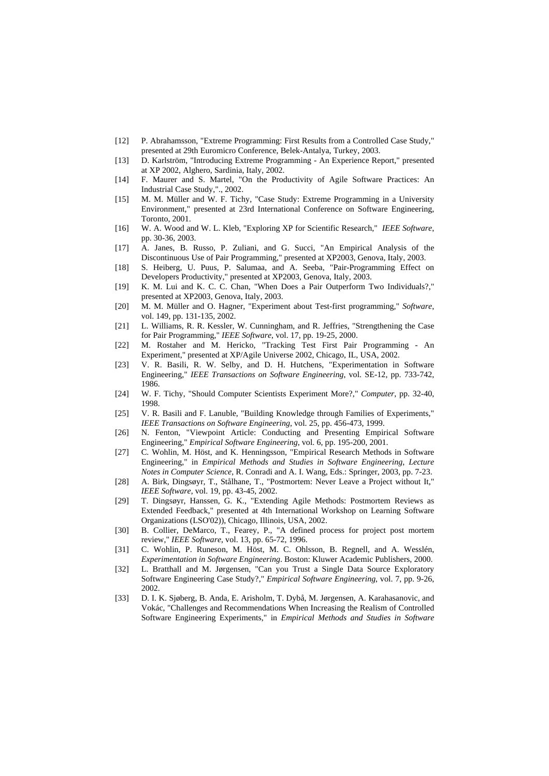- [12] P. Abrahamsson, "Extreme Programming: First Results from a Controlled Case Study," presented at 29th Euromicro Conference, Belek-Antalya, Turkey, 2003.
- [13] D. Karlström, "Introducing Extreme Programming An Experience Report," presented at XP 2002, Alghero, Sardinia, Italy, 2002.
- [14] F. Maurer and S. Martel, "On the Productivity of Agile Software Practices: An Industrial Case Study,"., 2002.
- [15] M. M. Müller and W. F. Tichy, "Case Study: Extreme Programming in a University Environment," presented at 23rd International Conference on Software Engineering, Toronto, 2001.
- [16] W. A. Wood and W. L. Kleb, "Exploring XP for Scientific Research," *IEEE Software*, pp. 30-36, 2003.
- [17] A. Janes, B. Russo, P. Zuliani, and G. Succi, "An Empirical Analysis of the Discontinuous Use of Pair Programming," presented at XP2003, Genova, Italy, 2003.
- [18] S. Heiberg, U. Puus, P. Salumaa, and A. Seeba, "Pair-Programming Effect on Developers Productivity," presented at XP2003, Genova, Italy, 2003.
- [19] K. M. Lui and K. C. C. Chan, "When Does a Pair Outperform Two Individuals?," presented at XP2003, Genova, Italy, 2003.
- [20] M. M. Müller and O. Hagner, "Experiment about Test-first programming," *Software*, vol. 149, pp. 131-135, 2002.
- [21] L. Williams, R. R. Kessler, W. Cunningham, and R. Jeffries, "Strengthening the Case for Pair Programming," *IEEE Software*, vol. 17, pp. 19-25, 2000.
- [22] M. Rostaher and M. Hericko, "Tracking Test First Pair Programming An Experiment," presented at XP/Agile Universe 2002, Chicago, IL, USA, 2002.
- [23] V. R. Basili, R. W. Selby, and D. H. Hutchens, "Experimentation in Software Engineering," *IEEE Transactions on Software Engineering*, vol. SE-12, pp. 733-742, 1986.
- [24] W. F. Tichy, "Should Computer Scientists Experiment More?," *Computer*, pp. 32-40, 1998.
- [25] V. R. Basili and F. Lanuble, "Building Knowledge through Families of Experiments," *IEEE Transactions on Software Engineering*, vol. 25, pp. 456-473, 1999.
- [26] N. Fenton, "Viewpoint Article: Conducting and Presenting Empirical Software Engineering," *Empirical Software Engineering*, vol. 6, pp. 195-200, 2001.
- [27] C. Wohlin, M. Höst, and K. Henningsson, "Empirical Research Methods in Software Engineering," in *Empirical Methods and Studies in Software Engineering*, *Lecture Notes in Computer Science*, R. Conradi and A. I. Wang, Eds.: Springer, 2003, pp. 7-23.
- [28] A. Birk, Dingsøyr, T., Stålhane, T., "Postmortem: Never Leave a Project without It," *IEEE Software*, vol. 19, pp. 43-45, 2002.
- [29] T. Dingsøyr, Hanssen, G. K., "Extending Agile Methods: Postmortem Reviews as Extended Feedback," presented at 4th International Workshop on Learning Software Organizations (LSO'02)), Chicago, Illinois, USA, 2002.
- [30] B. Collier, DeMarco, T., Fearey, P., "A defined process for project post mortem review," *IEEE Software*, vol. 13, pp. 65-72, 1996.
- [31] C. Wohlin, P. Runeson, M. Höst, M. C. Ohlsson, B. Regnell, and A. Wesslén, *Experimentation in Software Engineering*. Boston: Kluwer Academic Publishers, 2000.
- [32] L. Bratthall and M. Jørgensen, "Can you Trust a Single Data Source Exploratory Software Engineering Case Study?," *Empirical Software Engineering*, vol. 7, pp. 9-26, 2002.
- [33] D. I. K. Sjøberg, B. Anda, E. Arisholm, T. Dybå, M. Jørgensen, A. Karahasanovic, and Vokác, "Challenges and Recommendations When Increasing the Realism of Controlled Software Engineering Experiments," in *Empirical Methods and Studies in Software*